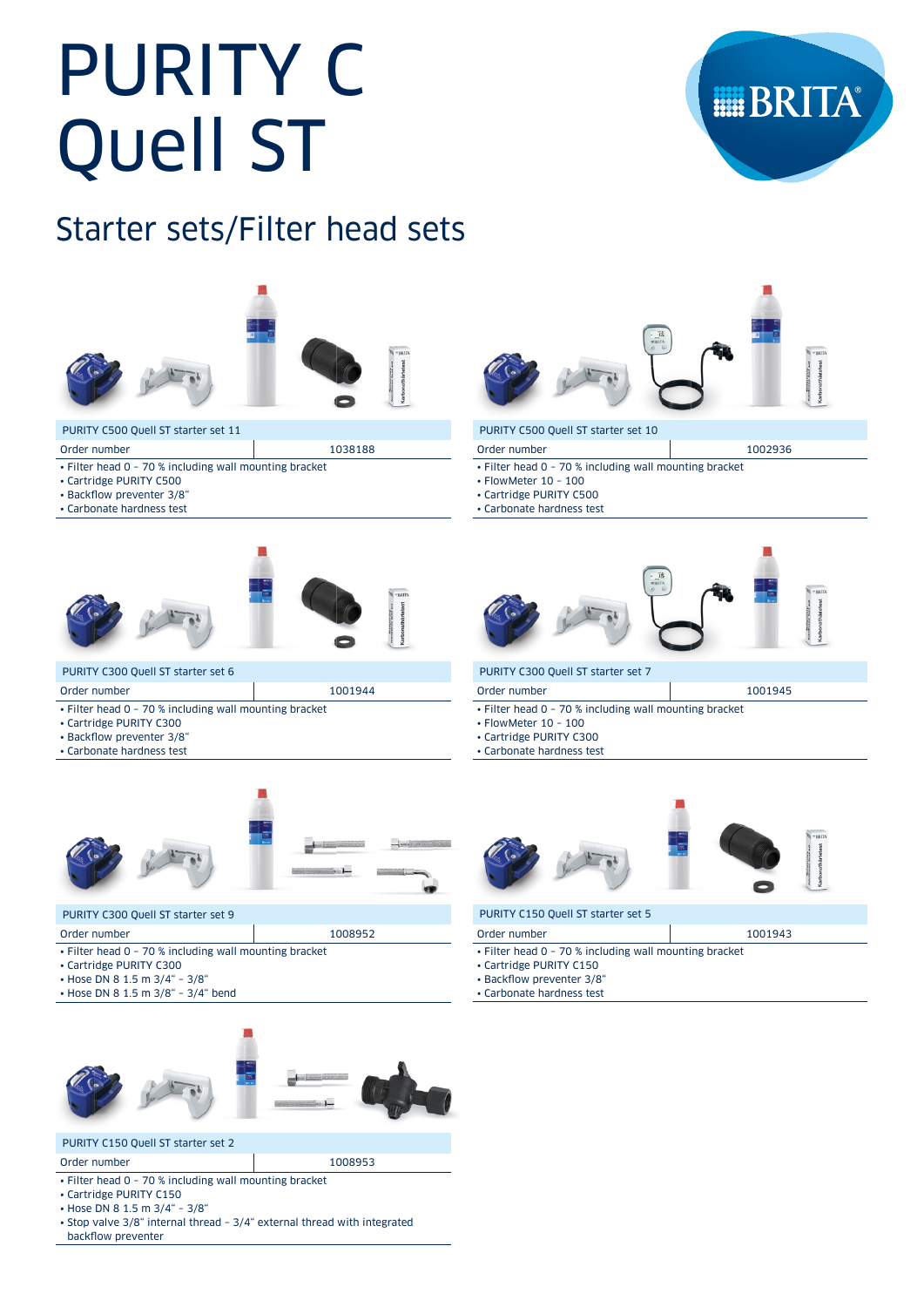# PURITY C Quell ST



# Starter sets/Filter head sets



#### PURITY C500 Quell ST starter set 11

- Order number 1038188
- Filter head 0 70 % including wall mounting bracket
- Cartridge PURITY C500
- Backflow preventer 3/8"
- Carbonate hardness test



#### PURITY C300 Quell ST starter set 6

- Order number 1001944
- Filter head 0 70 % including wall mounting bracket
- Cartridge PURITY C300
- Backflow preventer 3/8"
- Carbonate hardness test



#### PURITY C300 Quell ST starter set 9

- Order number 1008952
- Filter head 0 70 % including wall mounting bracket
- Cartridge PURITY C300
- Hose DN 8 1.5 m 3/4" 3/8"
- Hose DN 8 1.5 m 3/8" 3/4" bend



#### PURITY C150 Quell ST starter set 2

#### Order number 1008953

- Filter head 0 70 % including wall mounting bracket
- Cartridge PURITY C150
- Hose DN 8 1.5 m 3/4" 3/8"
- Stop valve 3/8" internal thread 3/4" external thread with integrated backflow preventer



Order number 1002936

#### PURITY C500 Quell ST starter set 10

- Filter head 0 70 % including wall mounting bracket
- FlowMeter 10 100
- Cartridge PURITY C500
- Carbonate hardness test



#### PURITY C300 Quell ST starter set 7

| Order number | 1001945 |
|--------------|---------|

- Filter head 0 70 % including wall mounting bracket
- FlowMeter 10 100
- Cartridge PURITY C300
- Carbonate hardness test



#### PURITY C150 Quell ST starter set 5

| Order number                                           | 1001943 |
|--------------------------------------------------------|---------|
| • Filter head 0 - 70 % including wall mounting bracket |         |
| • Cartridge PURITY C150                                |         |
| • Backflow preventer 3/8"                              |         |

- Carbonate hardness test
-